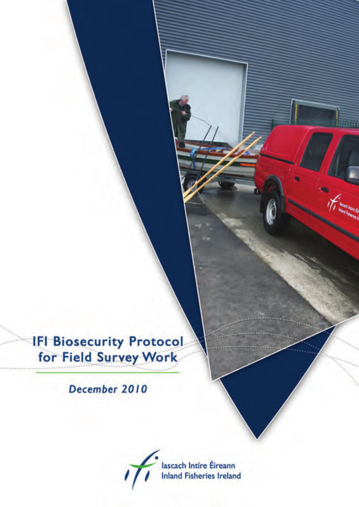**IFI Biosecurity Protocol** for Field Survey Work

December 2010

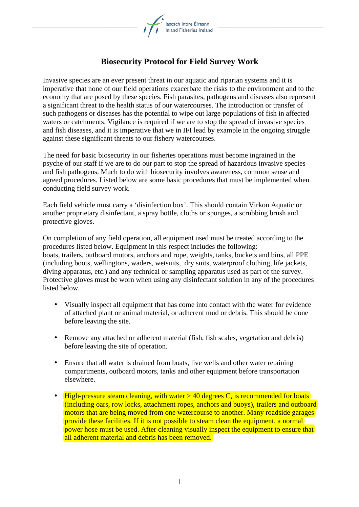

## **Biosecurity Protocol for Field Survey Work**

Invasive species are an ever present threat in our aquatic and riparian systems and it is imperative that none of our field operations exacerbate the risks to the environment and to the economy that are posed by these species. Fish parasites, pathogens and diseases also represent a significant threat to the health status of our watercourses. The introduction or transfer of such pathogens or diseases has the potential to wipe out large populations of fish in affected waters or catchments. Vigilance is required if we are to stop the spread of invasive species and fish diseases, and it is imperative that we in IFI lead by example in the ongoing struggle against these significant threats to our fishery watercourses.

The need for basic biosecurity in our fisheries operations must become ingrained in the psyche of our staff if we are to do our part to stop the spread of hazardous invasive species and fish pathogens. Much to do with biosecurity involves awareness, common sense and agreed procedures. Listed below are some basic procedures that must be implemented when conducting field survey work.

Each field vehicle must carry a 'disinfection box'. This should contain Virkon Aquatic or another proprietary disinfectant, a spray bottle, cloths or sponges, a scrubbing brush and protective gloves.

On completion of any field operation, all equipment used must be treated according to the procedures listed below. Equipment in this respect includes the following: boats, trailers, outboard motors, anchors and rope, weights, tanks, buckets and bins, all PPE (including boots, wellingtons, waders, wetsuits, dry suits, waterproof clothing, life jackets, diving apparatus, etc.) and any technical or sampling apparatus used as part of the survey. Protective gloves must be worn when using any disinfectant solution in any of the procedures listed below.

- Visually inspect all equipment that has come into contact with the water for evidence of attached plant or animal material, or adherent mud or debris. This should be done before leaving the site.
- Remove any attached or adherent material (fish, fish scales, vegetation and debris) before leaving the site of operation.
- Ensure that all water is drained from boats, live wells and other water retaining compartments, outboard motors, tanks and other equipment before transportation elsewhere.
- High-pressure steam cleaning, with water  $> 40$  degrees C, is recommended for boats (including oars, row locks, attachment ropes, anchors and buoys), trailers and outboard motors that are being moved from one watercourse to another. Many roadside garages provide these facilities. If it is not possible to steam clean the equipment, a normal power hose must be used. After cleaning visually inspect the equipment to ensure that all adherent material and debris has been removed.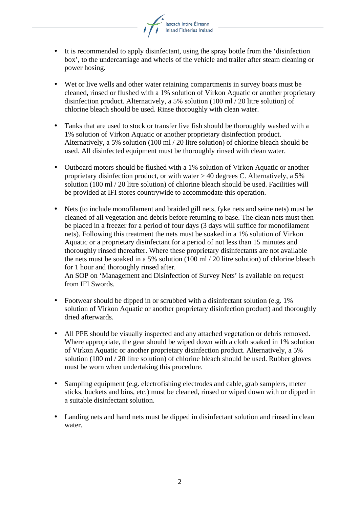

- It is recommended to apply disinfectant, using the spray bottle from the 'disinfection box', to the undercarriage and wheels of the vehicle and trailer after steam cleaning or power hosing.
- Wet or live wells and other water retaining compartments in survey boats must be cleaned, rinsed or flushed with a 1% solution of Virkon Aquatic or another proprietary disinfection product. Alternatively, a 5% solution (100 ml / 20 litre solution) of chlorine bleach should be used. Rinse thoroughly with clean water.
- Tanks that are used to stock or transfer live fish should be thoroughly washed with a 1% solution of Virkon Aquatic or another proprietary disinfection product. Alternatively, a 5% solution (100 ml / 20 litre solution) of chlorine bleach should be used. All disinfected equipment must be thoroughly rinsed with clean water.
- Outboard motors should be flushed with a 1% solution of Virkon Aquatic or another proprietary disinfection product, or with water > 40 degrees C. Alternatively, a 5% solution (100 ml / 20 litre solution) of chlorine bleach should be used. Facilities will be provided at IFI stores countrywide to accommodate this operation.
- Nets (to include monofilament and braided gill nets, fyke nets and seine nets) must be cleaned of all vegetation and debris before returning to base. The clean nets must then be placed in a freezer for a period of four days (3 days will suffice for monofilament nets). Following this treatment the nets must be soaked in a 1% solution of Virkon Aquatic or a proprietary disinfectant for a period of not less than 15 minutes and thoroughly rinsed thereafter. Where these proprietary disinfectants are not available the nets must be soaked in a 5% solution (100 ml / 20 litre solution) of chlorine bleach for 1 hour and thoroughly rinsed after.

An SOP on 'Management and Disinfection of Survey Nets' is available on request from IFI Swords.

- Footwear should be dipped in or scrubbed with a disinfectant solution (e.g. 1%) solution of Virkon Aquatic or another proprietary disinfection product) and thoroughly dried afterwards.
- All PPE should be visually inspected and any attached vegetation or debris removed. Where appropriate, the gear should be wiped down with a cloth soaked in 1% solution of Virkon Aquatic or another proprietary disinfection product. Alternatively, a 5% solution (100 ml / 20 litre solution) of chlorine bleach should be used. Rubber gloves must be worn when undertaking this procedure.
- Sampling equipment (e.g. electrofishing electrodes and cable, grab samplers, meter sticks, buckets and bins, etc.) must be cleaned, rinsed or wiped down with or dipped in a suitable disinfectant solution.
- Landing nets and hand nets must be dipped in disinfectant solution and rinsed in clean water.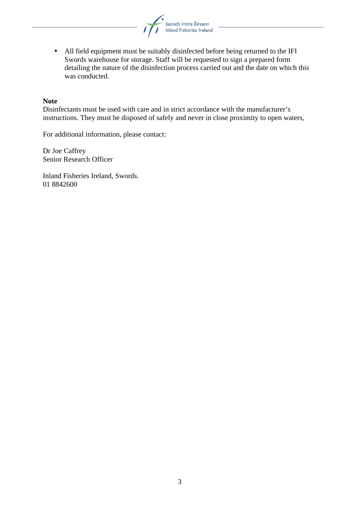

• All field equipment must be suitably disinfected before being returned to the IFI Swords warehouse for storage. Staff will be requested to sign a prepared form detailing the nature of the disinfection process carried out and the date on which this was conducted.

## **Note**

Disinfectants must be used with care and in strict accordance with the manufacturer's instructions. They must be disposed of safely and never in close proximity to open waters,

For additional information, please contact:

Dr Joe Caffrey Senior Research Officer

Inland Fisheries Ireland, Swords. 01 8842600